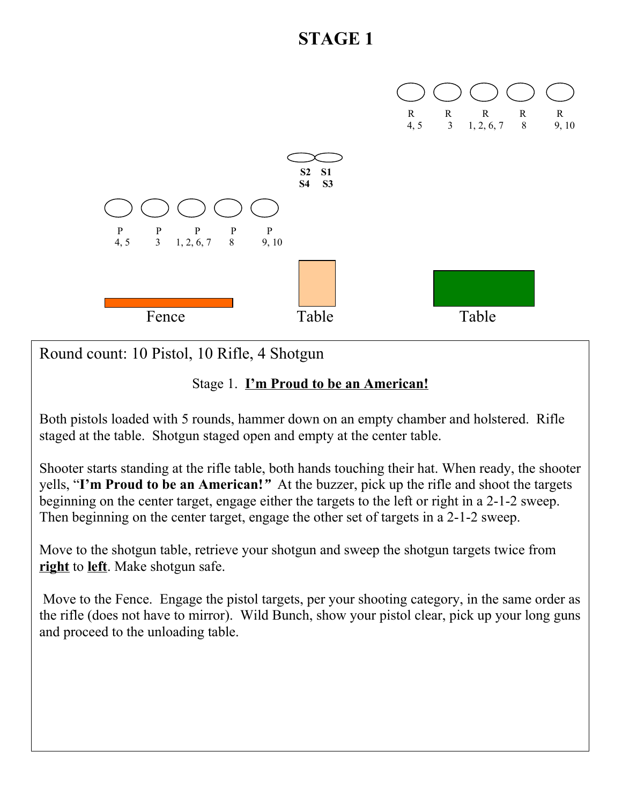

Round count: 10 Pistol, 10 Rifle, 4 Shotgun

### Stage 1. **I'm Proud to be an American!**

Both pistols loaded with 5 rounds, hammer down on an empty chamber and holstered. Rifle staged at the table. Shotgun staged open and empty at the center table.

Shooter starts standing at the rifle table, both hands touching their hat. When ready, the shooter yells, "**I'm Proud to be an American!***"* At the buzzer, pick up the rifle and shoot the targets beginning on the center target, engage either the targets to the left or right in a 2-1-2 sweep. Then beginning on the center target, engage the other set of targets in a 2-1-2 sweep.

Move to the shotgun table, retrieve your shotgun and sweep the shotgun targets twice from **right** to **left**. Make shotgun safe.

 Move to the Fence. Engage the pistol targets, per your shooting category, in the same order as the rifle (does not have to mirror). Wild Bunch, show your pistol clear, pick up your long guns and proceed to the unloading table.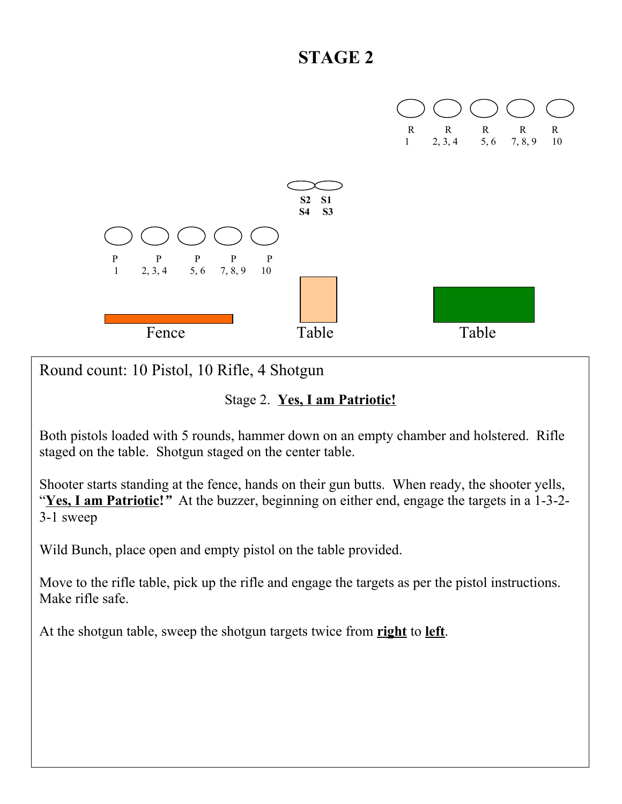

Round count: 10 Pistol, 10 Rifle, 4 Shotgun

#### Stage 2. **Yes, I am Patriotic!**

Both pistols loaded with 5 rounds, hammer down on an empty chamber and holstered. Rifle staged on the table. Shotgun staged on the center table.

Shooter starts standing at the fence, hands on their gun butts. When ready, the shooter yells, "Yes, I am Patriotic!" At the buzzer, beginning on either end, engage the targets in a 1-3-2-3-1 sweep

Wild Bunch, place open and empty pistol on the table provided.

Move to the rifle table, pick up the rifle and engage the targets as per the pistol instructions. Make rifle safe.

At the shotgun table, sweep the shotgun targets twice from **right** to **left**.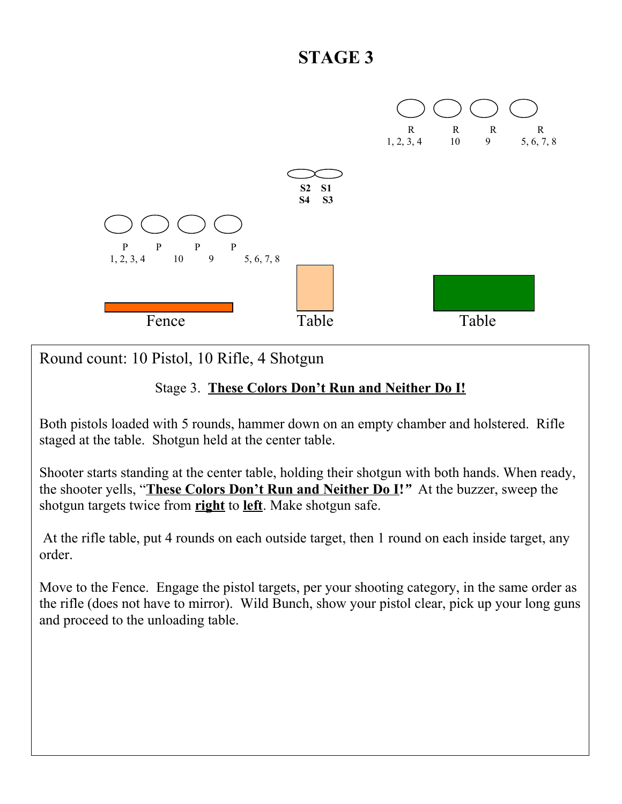

Round count: 10 Pistol, 10 Rifle, 4 Shotgun

### Stage 3. **These Colors Don't Run and Neither Do I!**

Both pistols loaded with 5 rounds, hammer down on an empty chamber and holstered. Rifle staged at the table. Shotgun held at the center table.

Shooter starts standing at the center table, holding their shotgun with both hands. When ready, the shooter yells, "**These Colors Don't Run and Neither Do I!***"* At the buzzer, sweep the shotgun targets twice from **right** to **left**. Make shotgun safe.

 At the rifle table, put 4 rounds on each outside target, then 1 round on each inside target, any order.

Move to the Fence. Engage the pistol targets, per your shooting category, in the same order as the rifle (does not have to mirror). Wild Bunch, show your pistol clear, pick up your long guns and proceed to the unloading table.